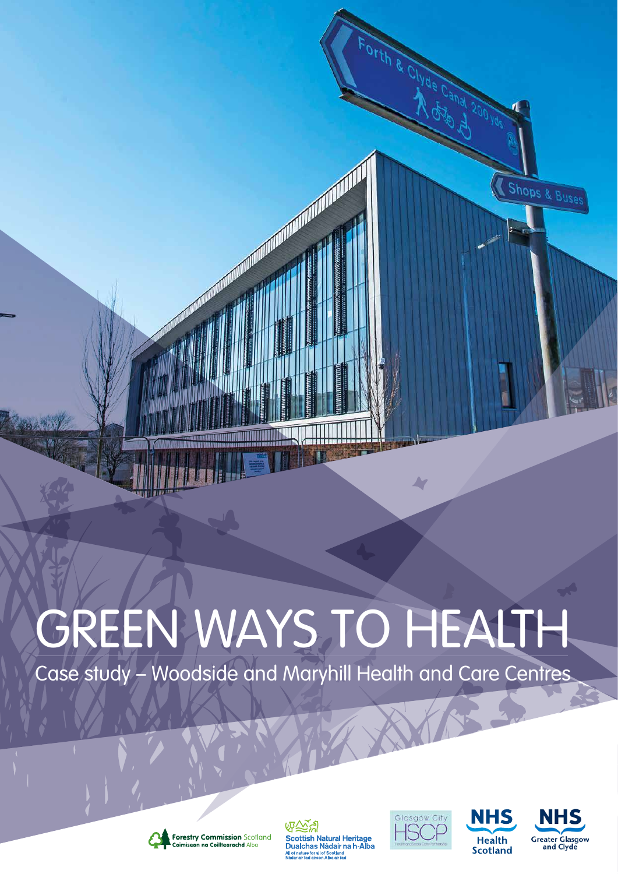# Forth & Clyde Canal Shops & Buses  $\blacktriangle$

# GREEN WAYS TO HEALTH

Case study – Woodside and Maryhill Health and Care Centres



吸反义 **Scottish Natural Heritage** Dualchas Nàdair na h-Alba<br>Alba Anature for all of Scotland<br>Nàdar air fad airson Alba air fad





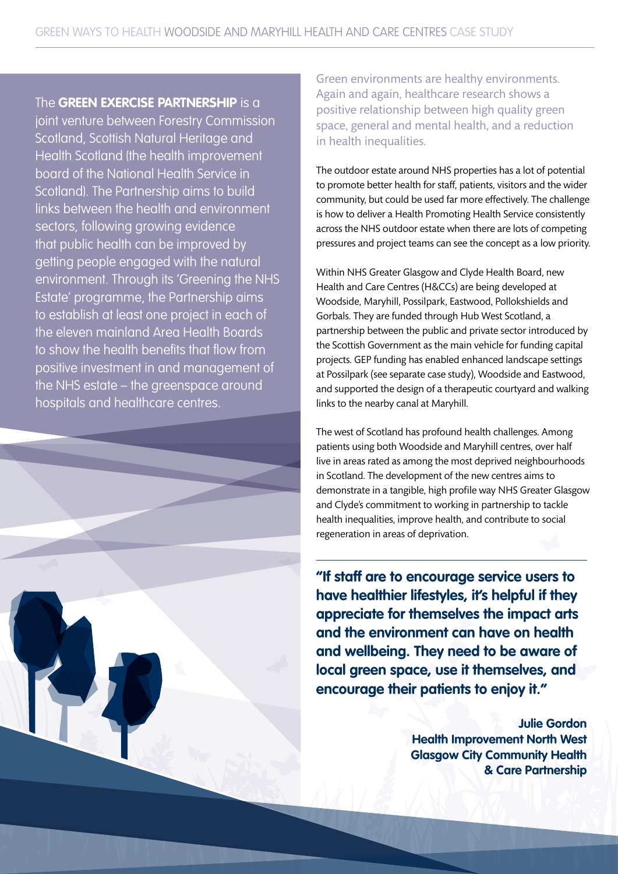### The **GREEN EXERCISE PARTNERSHIP** is a

joint venture between Forestry Commission Scotland, Scottish Natural Heritage and Health Scotland (the health improvement board of the National Health Service in Scotland). The Partnership aims to build links between the health and environment sectors, following growing evidence that public health can be improved by getting people engaged with the natural environment. Through its 'Greening the NHS Estate' programme, the Partnership aims to establish at least one project in each of the eleven mainland Area Health Boards to show the health benefits that flow from positive investment in and management of the NHS estate – the greenspace around hospitals and healthcare centres.



Green environments are healthy environments. Again and again, healthcare research shows a positive relationship between high quality green space, general and mental health, and a reduction in health inequalities.

The outdoor estate around NHS properties has a lot of potential to promote better health for staff, patients, visitors and the wider community, but could be used far more effectively. The challenge is how to deliver a Health Promoting Health Service consistently across the NHS outdoor estate when there are lots of competing pressures and project teams can see the concept as a low priority.

Within NHS Greater Glasgow and Clyde Health Board, new Health and Care Centres (H&CCs) are being developed at Woodside, Maryhill, Possilpark, Eastwood, Pollokshields and Gorbals. They are funded through Hub West Scotland, a partnership between the public and private sector introduced by the Scottish Government as the main vehicle for funding capital projects. GEP funding has enabled enhanced landscape settings at Possilpark (see separate case study), Woodside and Eastwood, and supported the design of a therapeutic courtyard and walking links to the nearby canal at Maryhill.

The west of Scotland has profound health challenges. Among patients using both Woodside and Maryhill centres, over half live in areas rated as among the most deprived neighbourhoods in Scotland. The development of the new centres aims to demonstrate in a tangible, high profile way NHS Greater Glasgow and Clyde's commitment to working in partnership to tackle health inequalities, improve health, and contribute to social regeneration in areas of deprivation.

**"If staff are to encourage service users to have healthier lifestyles, it's helpful if they appreciate for themselves the impact arts and the environment can have on health and wellbeing. They need to be aware of local green space, use it themselves, and encourage their patients to enjoy it."**

> **Julie Gordon Health Improvement North West Glasgow City Community Health & Care Partnership**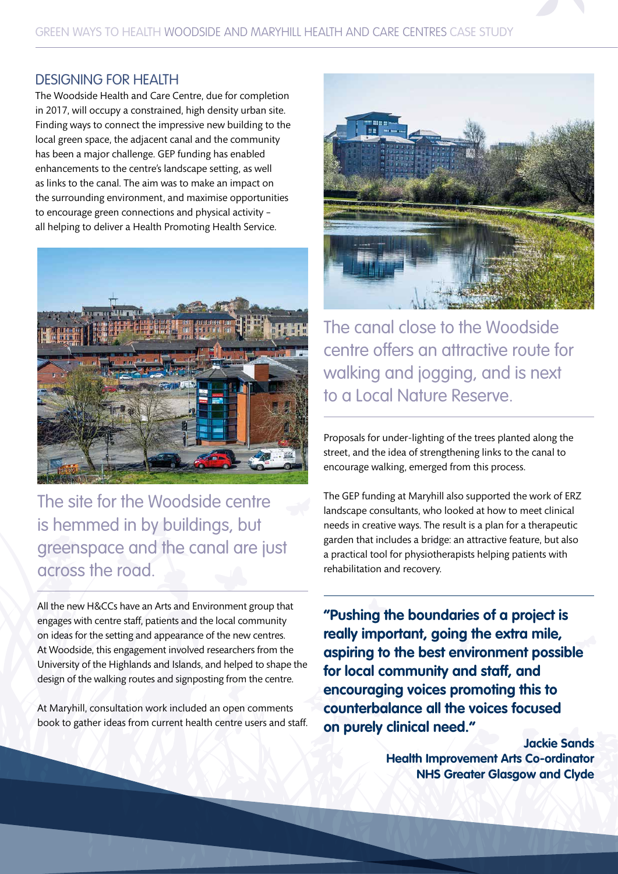### DESIGNING FOR HEALTH

The Woodside Health and Care Centre, due for completion in 2017, will occupy a constrained, high density urban site. Finding ways to connect the impressive new building to the local green space, the adjacent canal and the community has been a major challenge. GEP funding has enabled enhancements to the centre's landscape setting, as well as links to the canal. The aim was to make an impact on the surrounding environment, and maximise opportunities to encourage green connections and physical activity – all helping to deliver a Health Promoting Health Service.



The site for the Woodside centre is hemmed in by buildings, but greenspace and the canal are just across the road.

All the new H&CCs have an Arts and Environment group that engages with centre staff, patients and the local community on ideas for the setting and appearance of the new centres. At Woodside, this engagement involved researchers from the University of the Highlands and Islands, and helped to shape the design of the walking routes and signposting from the centre.

At Maryhill, consultation work included an open comments book to gather ideas from current health centre users and staff.



The canal close to the Woodside centre offers an attractive route for walking and jogging, and is next to a Local Nature Reserve.

Proposals for under-lighting of the trees planted along the street, and the idea of strengthening links to the canal to encourage walking, emerged from this process.

The GEP funding at Maryhill also supported the work of ERZ landscape consultants, who looked at how to meet clinical needs in creative ways. The result is a plan for a therapeutic garden that includes a bridge: an attractive feature, but also a practical tool for physiotherapists helping patients with rehabilitation and recovery.

**"Pushing the boundaries of a project is really important, going the extra mile, aspiring to the best environment possible for local community and staff, and encouraging voices promoting this to counterbalance all the voices focused on purely clinical need."**

> **Jackie Sands Health Improvement Arts Co-ordinator NHS Greater Glasgow and Clyde**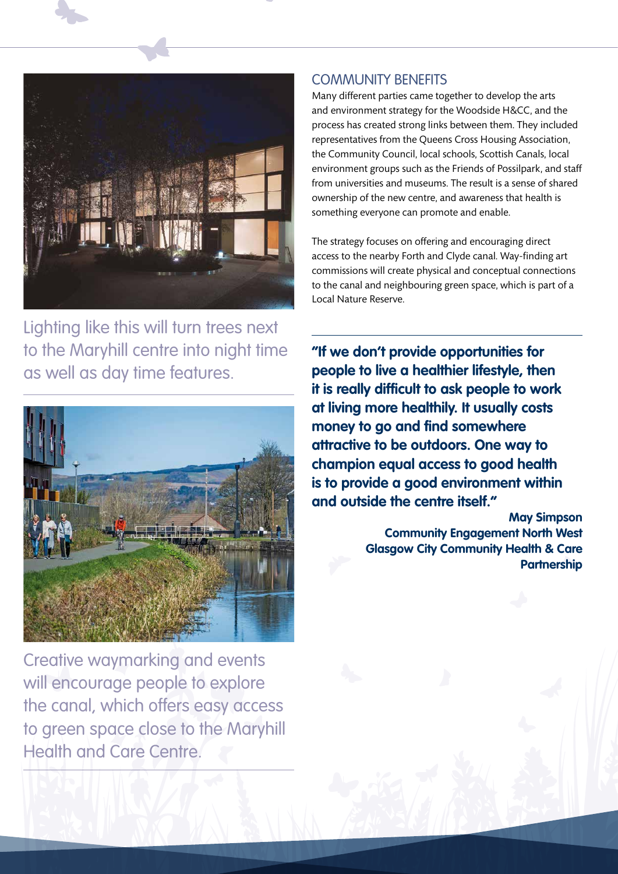

Lighting like this will turn trees next to the Maryhill centre into night time as well as day time features.



Creative waymarking and events will encourage people to explore the canal, which offers easy access to green space close to the Maryhill Health and Care Centre.

### COMMUNITY BENEFITS

Many different parties came together to develop the arts and environment strategy for the Woodside H&CC, and the process has created strong links between them. They included representatives from the Queens Cross Housing Association, the Community Council, local schools, Scottish Canals, local environment groups such as the Friends of Possilpark, and staff from universities and museums. The result is a sense of shared ownership of the new centre, and awareness that health is something everyone can promote and enable.

The strategy focuses on offering and encouraging direct access to the nearby Forth and Clyde canal. Way-finding art commissions will create physical and conceptual connections to the canal and neighbouring green space, which is part of a Local Nature Reserve.

**"If we don't provide opportunities for people to live a healthier lifestyle, then it is really difficult to ask people to work at living more healthily. It usually costs money to go and find somewhere attractive to be outdoors. One way to champion equal access to good health is to provide a good environment within and outside the centre itself."**

> **May Simpson Community Engagement North West Glasgow City Community Health & Care Partnership**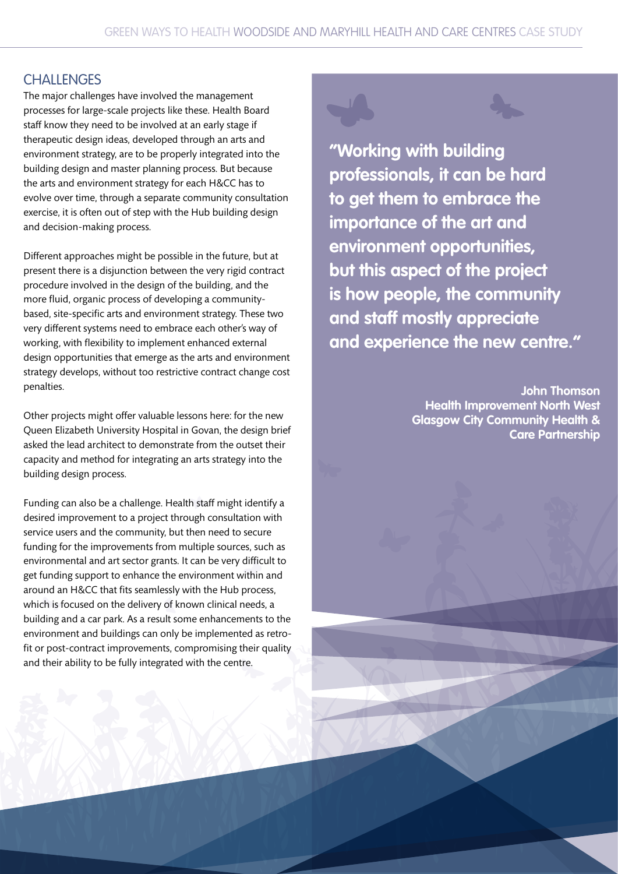## **CHALLENGES**

The major challenges have involved the management processes for large-scale projects like these. Health Board staff know they need to be involved at an early stage if therapeutic design ideas, developed through an arts and environment strategy, are to be properly integrated into the building design and master planning process. But because the arts and environment strategy for each H&CC has to evolve over time, through a separate community consultation exercise, it is often out of step with the Hub building design and decision-making process.

Different approaches might be possible in the future, but at present there is a disjunction between the very rigid contract procedure involved in the design of the building, and the more fluid, organic process of developing a communitybased, site-specific arts and environment strategy. These two very different systems need to embrace each other's way of working, with flexibility to implement enhanced external design opportunities that emerge as the arts and environment strategy develops, without too restrictive contract change cost penalties.

Other projects might offer valuable lessons here: for the new Queen Elizabeth University Hospital in Govan, the design brief asked the lead architect to demonstrate from the outset their capacity and method for integrating an arts strategy into the building design process.

Funding can also be a challenge. Health staff might identify a desired improvement to a project through consultation with service users and the community, but then need to secure funding for the improvements from multiple sources, such as environmental and art sector grants. It can be very difficult to get funding support to enhance the environment within and around an H&CC that fits seamlessly with the Hub process, which is focused on the delivery of known clinical needs, a building and a car park. As a result some enhancements to the environment and buildings can only be implemented as retrofit or post-contract improvements, compromising their quality and their ability to be fully integrated with the centre.



**"Working with building professionals, it can be hard to get them to embrace the importance of the art and environment opportunities, but this aspect of the project is how people, the community and staff mostly appreciate and experience the new centre."**

> **John Thomson Health Improvement North West Glasgow City Community Health & Care Partnership**